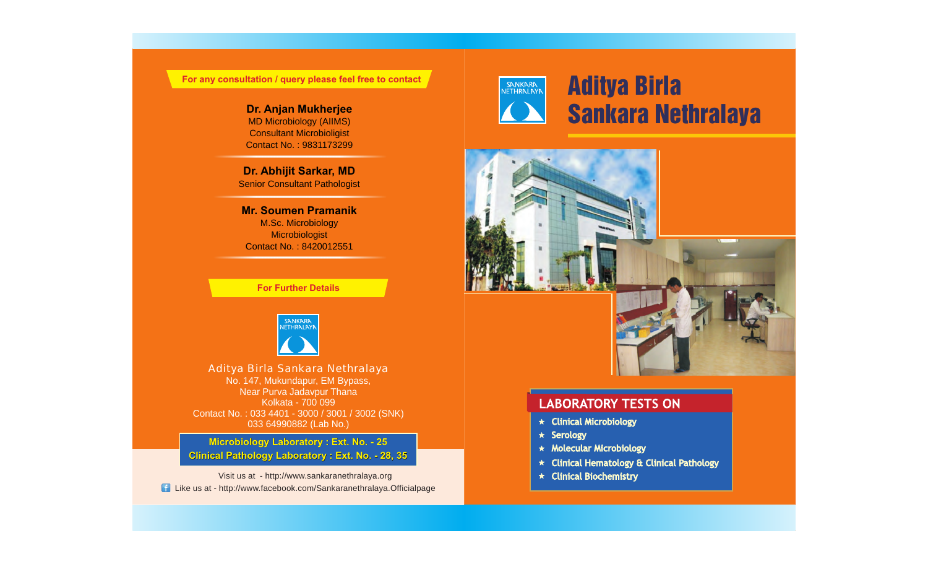**For any consultation / query please feel free to contact**

MD Microbiology (AIIMS) Consultant Microbioligist Contact No. : 9831173299

**Dr. Abhijit Sarkar, MD** Senior Consultant Pathologist

**Mr. Soumen Pramanik** M.Sc. Microbiology Microbiologist Contact No. : 8420012551

**For Further Details**



Aditya Birla Sankara Nethralaya No. 147, Mukundapur, EM Bypass, Near Purva Jadavpur Thana Kolkata - 700 099 Contact No. : 033 4401 - 3000 / 3001 / 3002 (SNK) 033 64990882 (Lab No.)

**Microbiology Laboratory : Ext. No. - 25 Clinical Pathology Laboratory : Ext. No. - 28, 35**

Visit us at - http://www.sankaranethralaya.org Like us at - http://www.facebook.com/Sankaranethralaya.Officialpage



# Aditya Birla **Dr. Anjan Mukherjee**<br>MD Microbiology (AllMS)



### **LABORATORY TESTS ON**

- $\star$  Clinical Microbiology
- $\star$  Serology
- $\star$  Molecular Microbiology
- \* Clinical Hematology & Clinical Pathology
- $\star$  Clinical Biochemistry